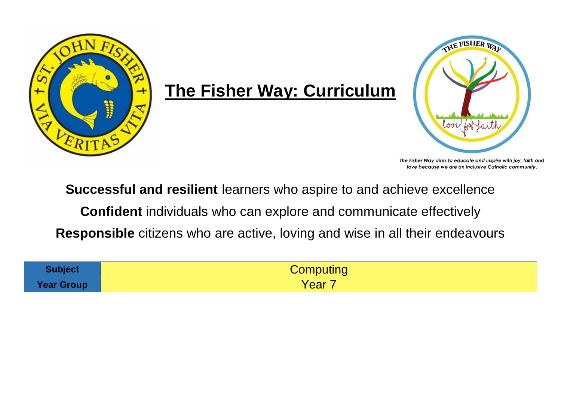

## **The Fisher Way: Curriculum**



The Fisher Way aims to educate and inspire with joy, faith and love because we are an inclusive Catholic community.

**Successful and resilient** learners who aspire to and achieve excellence

**Confident** individuals who can explore and communicate effectively

**Responsible** citizens who are active, loving and wise in all their endeavours

| <b>Subject</b>    | Computing |
|-------------------|-----------|
| <b>Year Group</b> | Year      |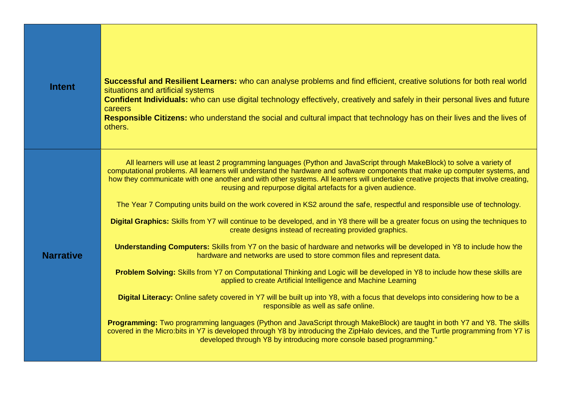| <b>Intent</b>    | Successful and Resilient Learners: who can analyse problems and find efficient, creative solutions for both real world<br>situations and artificial systems<br>Confident Individuals: who can use digital technology effectively, creatively and safely in their personal lives and future<br>careers<br>Responsible Citizens: who understand the social and cultural impact that technology has on their lives and the lives of<br>others.                                                                                                                                                                                                                                                                                                                                                                                                                                                                                                                                                                                                                                                                                                                                                                                                                                                                                                                                                                                                                                                                                                                                                                                                                                                                                             |
|------------------|-----------------------------------------------------------------------------------------------------------------------------------------------------------------------------------------------------------------------------------------------------------------------------------------------------------------------------------------------------------------------------------------------------------------------------------------------------------------------------------------------------------------------------------------------------------------------------------------------------------------------------------------------------------------------------------------------------------------------------------------------------------------------------------------------------------------------------------------------------------------------------------------------------------------------------------------------------------------------------------------------------------------------------------------------------------------------------------------------------------------------------------------------------------------------------------------------------------------------------------------------------------------------------------------------------------------------------------------------------------------------------------------------------------------------------------------------------------------------------------------------------------------------------------------------------------------------------------------------------------------------------------------------------------------------------------------------------------------------------------------|
| <b>Narrative</b> | All learners will use at least 2 programming languages (Python and JavaScript through MakeBlock) to solve a variety of<br>computational problems. All learners will understand the hardware and software components that make up computer systems, and<br>how they communicate with one another and with other systems. All learners will undertake creative projects that involve creating,<br>reusing and repurpose digital artefacts for a given audience.<br>The Year 7 Computing units build on the work covered in KS2 around the safe, respectful and responsible use of technology.<br>Digital Graphics: Skills from Y7 will continue to be developed, and in Y8 there will be a greater focus on using the techniques to<br>create designs instead of recreating provided graphics.<br>Understanding Computers: Skills from Y7 on the basic of hardware and networks will be developed in Y8 to include how the<br>hardware and networks are used to store common files and represent data.<br><b>Problem Solving:</b> Skills from Y7 on Computational Thinking and Logic will be developed in Y8 to include how these skills are<br>applied to create Artificial Intelligence and Machine Learning<br>Digital Literacy: Online safety covered in Y7 will be built up into Y8, with a focus that develops into considering how to be a<br>responsible as well as safe online.<br><b>Programming:</b> Two programming languages (Python and JavaScript through MakeBlock) are taught in both Y7 and Y8. The skills<br>covered in the Micro:bits in Y7 is developed through Y8 by introducing the ZipHalo devices, and the Turtle programming from Y7 is<br>developed through Y8 by introducing more console based programming." |